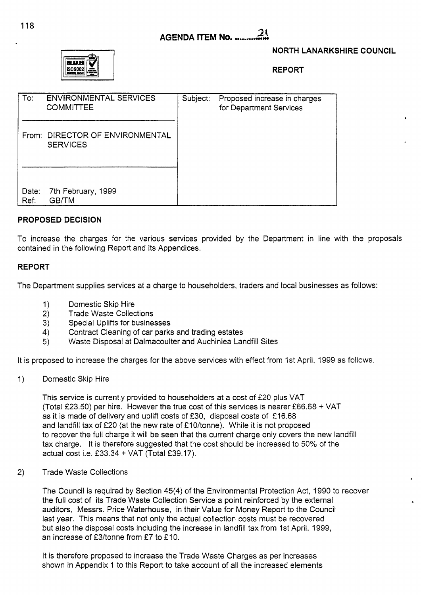#### $2\mathfrak{c}$ **AGENDA ITEM No. .......**



## **NORTH LANARKSHIRE COUNCIL**

.

**REPORT** 

| To:           | <b>ENVIRONMENTAL SERVICES</b><br><b>COMMITTEE</b> | Subject: | Proposed increase in charges<br>for Department Services |  |
|---------------|---------------------------------------------------|----------|---------------------------------------------------------|--|
| From:         | DIRECTOR OF ENVIRONMENTAL<br><b>SERVICES</b>      |          |                                                         |  |
| Date:<br>Ref: | 7th February, 1999<br>GB/TM                       |          |                                                         |  |

### **PROPOSED DECISION**

To increase the charges for the various services provided by the Department in line with the proposals contained in the following Report and its Appendices.

#### **REPORT**

The Department supplies services at a charge to householders, traders and local businesses as follows:

- 1) Domestic Skip Hire
- 2) Trade Waste Collections
- 3) Special Uplifts for businesses
- **4)**  Contract Cleaning of car parks and trading estates
- 5) Waste Disposal at Dalmacoulter and Auchinlea Landfill Sites

It is proposed to increase the charges for the above services with effect from 1st April, 1999 as follows.

1) Domestic Skip Hire

This service is currently provided to householders at a cost of £20 plus VAT (Total €23.50) per hire. However the true cost of this services is nearer f66.68 + VAT as it is made of delivery and uplift costs of £30, disposal costs of £16.68 and landfill tax of £20 (at the new rate of £10/tonne). While it is not proposed to recover the full charge it will be seen that the current charge only covers the new landfill tax charge. It is therefore suggested that the cost should be increased to 50% of the actual cost i.e.  $£33.34 + VAT$  (Total £39.17).

2) Trade Waste Collections

The Council is required by Section **45(4)** of the Environmental Protection Act, 1990 to recover the full cost of its Trade Waste Collection Service a point reinforced by the external auditors, Messrs. Price Waterhouse, in their Value for Money Report to the Council last year. This means that not only the actual collection costs must be recovered but also the disposal costs including the increase in landfill tax from 1st April, 1999, an increase of  $£3/tonne$  from £7 to £10.

It is therefore proposed to increase the Trade Waste Charges as per increases shown in Appendix 1 to this Report to take account of all the increased elements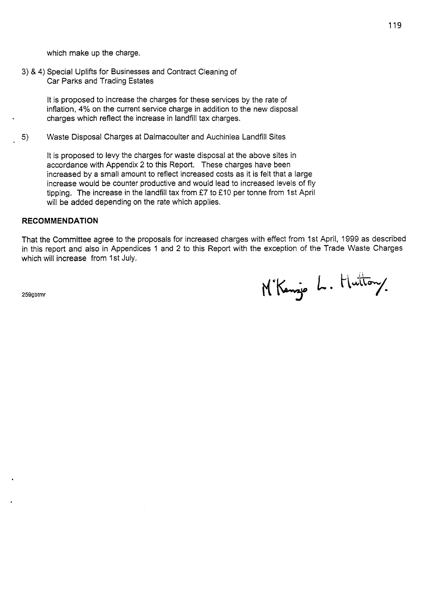which make up the charge.

3) & **4)** Special Uplifts for Businesses and Contract Cleaning of Car Parks and Trading Estates

> It is proposed to increase the charges for these services by the rate of inflation, 4% on the current service charge in addition to the new disposal charges which reflect the increase in landfill tax charges.

5) Waste Disposal Charges at Dalmacoulter and Auchinlea Landfill Sites

It is proposed to levy the charges for waste disposal at the above sites in accordance with Appendix *2* to this Report. These charges have been increased by a small amount to reflect increased costs as it is felt that a large increase would be counter productive and would lead to increased levels of fly tipping. The increase in the landfill tax from £7 to £10 per tonne from 1st April will be added depending on the rate which applies.

#### **RECOMMENDATION**

That the Committee agree to the proposals for increased charges with effect from 1st April, 1999 as described in this report and also in Appendices 1 and *2* to this Report with the exception of the Trade Waste Charges which will increase from 1st July.

**259gbtmr** 

M'Kenze L. Huttony.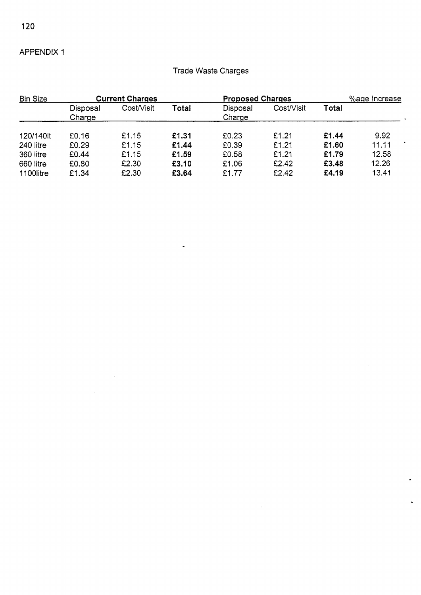APPENDIX 1

# Trade Waste Charges

| <b>Bin Size</b>        | <b>Current Charges</b> |                |                | <b>Proposed Charges</b> |                | %age Increase  |                |
|------------------------|------------------------|----------------|----------------|-------------------------|----------------|----------------|----------------|
|                        | Disposal<br>Charge     | Cost/Visit     | Total          | Disposal<br>Charge      | Cost/Visit     | Total          |                |
| 120/140lt              | £0.16                  | £1.15          | £1.31          | £0.23                   | £1.21          | £1.44          | 9.92           |
| 240 litre<br>360 litre | £0.29<br>£0.44         | £1.15<br>£1.15 | £1.44<br>£1.59 | £0.39<br>£0.58          | £1.21<br>£1.21 | £1.60<br>£1.79 | 11.11<br>12.58 |
| 660 litre<br>1100litre | £0.80<br>£1.34         | £2.30<br>£2.30 | £3.10<br>£3.64 | £1.06<br>£1.77          | £2.42<br>£2.42 | £3.48<br>£4.19 | 12.26<br>13.41 |

 $\sim$